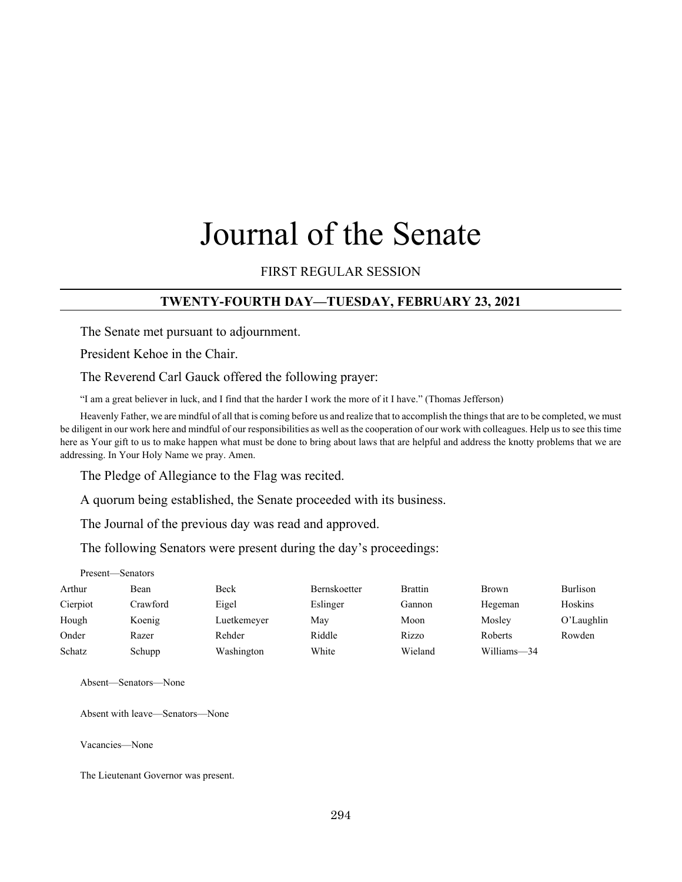# Journal of the Senate

## FIRST REGULAR SESSION

#### **TWENTY-FOURTH DAY—TUESDAY, FEBRUARY 23, 2021**

The Senate met pursuant to adjournment.

President Kehoe in the Chair.

The Reverend Carl Gauck offered the following prayer:

"I am a great believer in luck, and I find that the harder I work the more of it I have." (Thomas Jefferson)

Heavenly Father, we are mindful of all that is coming before us and realize that to accomplish the things that are to be completed, we must be diligent in our work here and mindful of our responsibilities as well as the cooperation of our work with colleagues. Help us to see this time here as Your gift to us to make happen what must be done to bring about laws that are helpful and address the knotty problems that we are addressing. In Your Holy Name we pray. Amen.

The Pledge of Allegiance to the Flag was recited.

A quorum being established, the Senate proceeded with its business.

The Journal of the previous day was read and approved.

The following Senators were present during the day's proceedings:

| Present—Senators |          |             |                     |                |             |               |  |  |
|------------------|----------|-------------|---------------------|----------------|-------------|---------------|--|--|
| Arthur           | Bean     | Beck        | <b>Bernskoetter</b> | <b>Brattin</b> | Brown       | Burlison      |  |  |
| Cierpiot         | Crawford | Eigel       | Eslinger            | Gannon         | Hegeman     | Hoskins       |  |  |
| Hough            | Koenig   | Luetkemeyer | May                 | Moon           | Mosley      | $O'$ Laughlin |  |  |
| Onder            | Razer    | Rehder      | Riddle              | Rizzo          | Roberts     | Rowden        |  |  |
| Schatz           | Schupp   | Washington  | White               | Wieland        | Williams-34 |               |  |  |

Absent—Senators—None

Absent with leave—Senators—None

Vacancies—None

The Lieutenant Governor was present.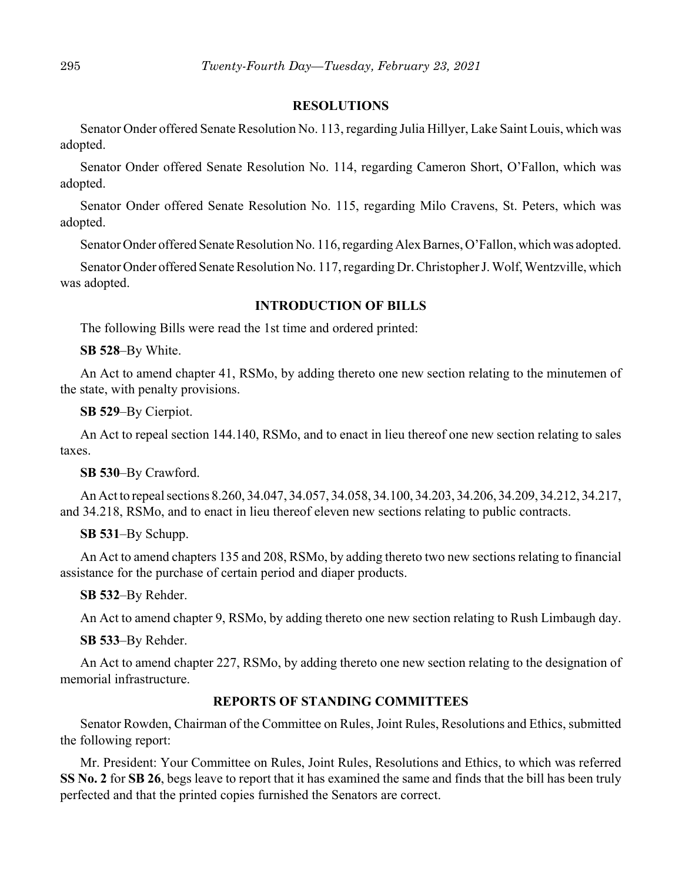#### **RESOLUTIONS**

Senator Onder offered Senate Resolution No. 113, regarding Julia Hillyer, Lake Saint Louis, which was adopted.

Senator Onder offered Senate Resolution No. 114, regarding Cameron Short, O'Fallon, which was adopted.

Senator Onder offered Senate Resolution No. 115, regarding Milo Cravens, St. Peters, which was adopted.

Senator Onder offered Senate Resolution No. 116, regarding Alex Barnes, O'Fallon, which was adopted.

Senator Onder offered Senate Resolution No. 117, regarding Dr. Christopher J. Wolf, Wentzville, which was adopted.

#### **INTRODUCTION OF BILLS**

The following Bills were read the 1st time and ordered printed:

**SB 528**–By White.

An Act to amend chapter 41, RSMo, by adding thereto one new section relating to the minutemen of the state, with penalty provisions.

**SB 529**–By Cierpiot.

An Act to repeal section 144.140, RSMo, and to enact in lieu thereof one new section relating to sales taxes.

**SB 530**–By Crawford.

An Act to repeal sections 8.260, 34.047, 34.057, 34.058, 34.100, 34.203, 34.206, 34.209, 34.212, 34.217, and 34.218, RSMo, and to enact in lieu thereof eleven new sections relating to public contracts.

**SB 531**–By Schupp.

An Act to amend chapters 135 and 208, RSMo, by adding thereto two new sections relating to financial assistance for the purchase of certain period and diaper products.

**SB 532**–By Rehder.

An Act to amend chapter 9, RSMo, by adding thereto one new section relating to Rush Limbaugh day.

**SB 533**–By Rehder.

An Act to amend chapter 227, RSMo, by adding thereto one new section relating to the designation of memorial infrastructure.

## **REPORTS OF STANDING COMMITTEES**

Senator Rowden, Chairman of the Committee on Rules, Joint Rules, Resolutions and Ethics, submitted the following report:

Mr. President: Your Committee on Rules, Joint Rules, Resolutions and Ethics, to which was referred **SS No. 2** for **SB 26**, begs leave to report that it has examined the same and finds that the bill has been truly perfected and that the printed copies furnished the Senators are correct.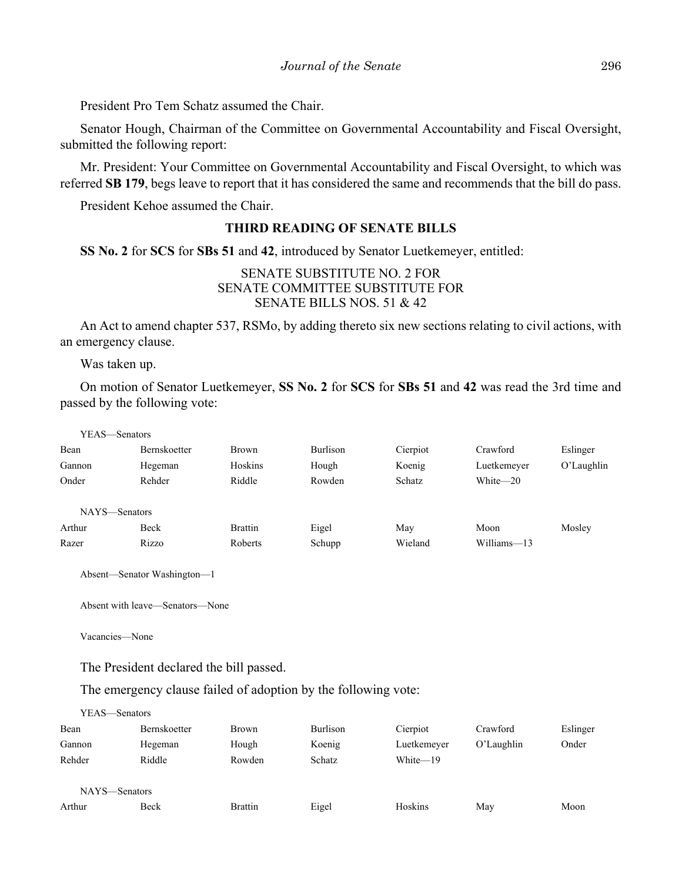President Pro Tem Schatz assumed the Chair.

Senator Hough, Chairman of the Committee on Governmental Accountability and Fiscal Oversight, submitted the following report:

Mr. President: Your Committee on Governmental Accountability and Fiscal Oversight, to which was referred **SB 179**, begs leave to report that it has considered the same and recommends that the bill do pass.

President Kehoe assumed the Chair.

## **THIRD READING OF SENATE BILLS**

**SS No. 2** for **SCS** for **SBs 51** and **42**, introduced by Senator Luetkemeyer, entitled:

## SENATE SUBSTITUTE NO. 2 FOR SENATE COMMITTEE SUBSTITUTE FOR SENATE BILLS NOS. 51 & 42

An Act to amend chapter 537, RSMo, by adding thereto six new sections relating to civil actions, with an emergency clause.

Was taken up.

On motion of Senator Luetkemeyer, **SS No. 2** for **SCS** for **SBs 51** and **42** was read the 3rd time and passed by the following vote:

| YEAS—Senators |                     |                |          |          |             |               |
|---------------|---------------------|----------------|----------|----------|-------------|---------------|
| Bean          | <b>Bernskoetter</b> | Brown          | Burlison | Cierpiot | Crawford    | Eslinger      |
| Gannon        | Hegeman             | Hoskins        | Hough    | Koenig   | Luetkemeyer | $O'$ Laughlin |
| Onder         | Rehder              | Riddle         | Rowden   | Schatz   | White-20    |               |
|               |                     |                |          |          |             |               |
| NAYS—Senators |                     |                |          |          |             |               |
| Arthur        | Beck                | <b>Brattin</b> | Eigel    | May      | Moon        | Mosley        |
| Razer         | Rizzo               | Roberts        | Schupp   | Wieland  | Williams-13 |               |
|               |                     |                |          |          |             |               |

Absent—Senator Washington—1

```
Absent with leave—Senators—None
```
Vacancies—None

The President declared the bill passed.

The emergency clause failed of adoption by the following vote:

YEAS—Senators

| Bean          | Bernskoetter | Brown          | Burlison | Cierpiot    | Crawford   | Eslinger |
|---------------|--------------|----------------|----------|-------------|------------|----------|
| Gannon        | Hegeman      | Hough          | Koenig   | Luetkemeyer | O'Laughlin | Onder    |
| Rehder        | Riddle       | Rowden         | Schatz   | White-19    |            |          |
|               |              |                |          |             |            |          |
| NAYS—Senators |              |                |          |             |            |          |
| Arthur        | Beck         | <b>Brattin</b> | Eigel    | Hoskins     | May        | Moon     |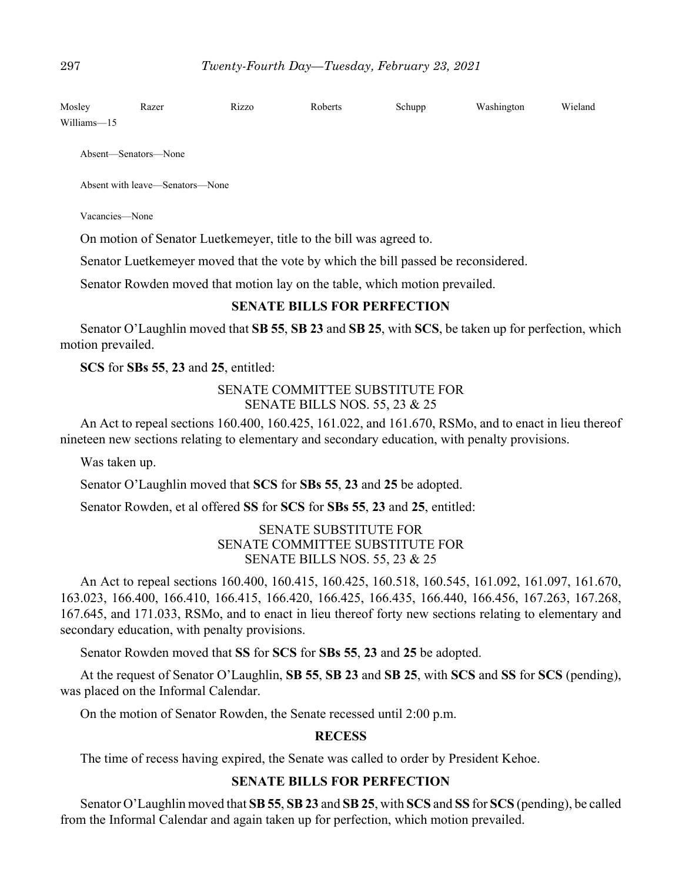| Mosley      | Razer | Rizzo | Roberts | Schupp | Washington | Wieland |
|-------------|-------|-------|---------|--------|------------|---------|
| Williams-15 |       |       |         |        |            |         |

Absent—Senators—None

Absent with leave—Senators—None

Vacancies—None

On motion of Senator Luetkemeyer, title to the bill was agreed to.

Senator Luetkemeyer moved that the vote by which the bill passed be reconsidered.

Senator Rowden moved that motion lay on the table, which motion prevailed.

## **SENATE BILLS FOR PERFECTION**

Senator O'Laughlin moved that **SB 55**, **SB 23** and **SB 25**, with **SCS**, be taken up for perfection, which motion prevailed.

**SCS** for **SBs 55**, **23** and **25**, entitled:

## SENATE COMMITTEE SUBSTITUTE FOR SENATE BILLS NOS. 55, 23 & 25

An Act to repeal sections 160.400, 160.425, 161.022, and 161.670, RSMo, and to enact in lieu thereof nineteen new sections relating to elementary and secondary education, with penalty provisions.

Was taken up.

Senator O'Laughlin moved that **SCS** for **SBs 55**, **23** and **25** be adopted.

Senator Rowden, et al offered **SS** for **SCS** for **SBs 55**, **23** and **25**, entitled:

## SENATE SUBSTITUTE FOR SENATE COMMITTEE SUBSTITUTE FOR SENATE BILLS NOS. 55, 23 & 25

An Act to repeal sections 160.400, 160.415, 160.425, 160.518, 160.545, 161.092, 161.097, 161.670, 163.023, 166.400, 166.410, 166.415, 166.420, 166.425, 166.435, 166.440, 166.456, 167.263, 167.268, 167.645, and 171.033, RSMo, and to enact in lieu thereof forty new sections relating to elementary and secondary education, with penalty provisions.

Senator Rowden moved that **SS** for **SCS** for **SBs 55**, **23** and **25** be adopted.

At the request of Senator O'Laughlin, **SB 55**, **SB 23** and **SB 25**, with **SCS** and **SS** for **SCS** (pending), was placed on the Informal Calendar.

On the motion of Senator Rowden, the Senate recessed until 2:00 p.m.

#### **RECESS**

The time of recess having expired, the Senate was called to order by President Kehoe.

## **SENATE BILLS FOR PERFECTION**

Senator O'Laughlin moved that **SB 55**, **SB 23** and **SB 25**, with **SCS** and **SS** for **SCS** (pending), be called from the Informal Calendar and again taken up for perfection, which motion prevailed.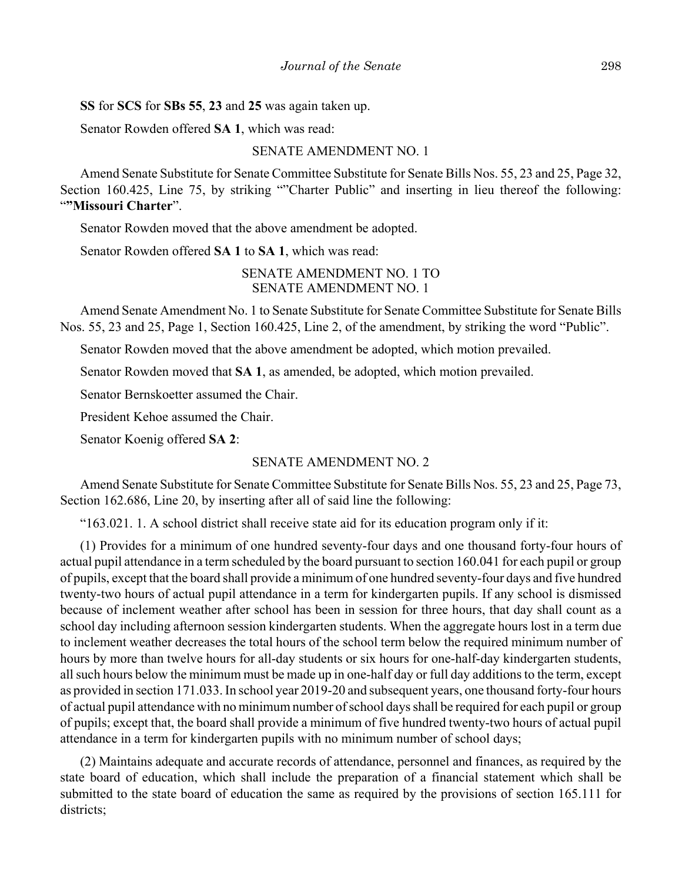**SS** for **SCS** for **SBs 55**, **23** and **25** was again taken up.

Senator Rowden offered **SA 1**, which was read:

#### SENATE AMENDMENT NO. 1

Amend Senate Substitute for Senate Committee Substitute for Senate Bills Nos. 55, 23 and 25, Page 32, Section 160.425, Line 75, by striking ""Charter Public" and inserting in lieu thereof the following: "**"Missouri Charter**".

Senator Rowden moved that the above amendment be adopted.

Senator Rowden offered **SA 1** to **SA 1**, which was read:

#### SENATE AMENDMENT NO. 1 TO SENATE AMENDMENT NO. 1

Amend Senate Amendment No. 1 to Senate Substitute for Senate Committee Substitute for Senate Bills Nos. 55, 23 and 25, Page 1, Section 160.425, Line 2, of the amendment, by striking the word "Public".

Senator Rowden moved that the above amendment be adopted, which motion prevailed.

Senator Rowden moved that **SA 1**, as amended, be adopted, which motion prevailed.

Senator Bernskoetter assumed the Chair.

President Kehoe assumed the Chair.

Senator Koenig offered **SA 2**:

#### SENATE AMENDMENT NO. 2

Amend Senate Substitute for Senate Committee Substitute for Senate Bills Nos. 55, 23 and 25, Page 73, Section 162.686, Line 20, by inserting after all of said line the following:

"163.021. 1. A school district shall receive state aid for its education program only if it:

(1) Provides for a minimum of one hundred seventy-four days and one thousand forty-four hours of actual pupil attendance in a term scheduled by the board pursuant to section 160.041 for each pupil or group of pupils, except that the board shall provide a minimum of one hundred seventy-four days and five hundred twenty-two hours of actual pupil attendance in a term for kindergarten pupils. If any school is dismissed because of inclement weather after school has been in session for three hours, that day shall count as a school day including afternoon session kindergarten students. When the aggregate hours lost in a term due to inclement weather decreases the total hours of the school term below the required minimum number of hours by more than twelve hours for all-day students or six hours for one-half-day kindergarten students, all such hours below the minimum must be made up in one-half day or full day additions to the term, except as provided in section 171.033. In school year 2019-20 and subsequent years, one thousand forty-four hours of actual pupil attendance with no minimum number of school days shall be required for each pupil or group of pupils; except that, the board shall provide a minimum of five hundred twenty-two hours of actual pupil attendance in a term for kindergarten pupils with no minimum number of school days;

(2) Maintains adequate and accurate records of attendance, personnel and finances, as required by the state board of education, which shall include the preparation of a financial statement which shall be submitted to the state board of education the same as required by the provisions of section 165.111 for districts;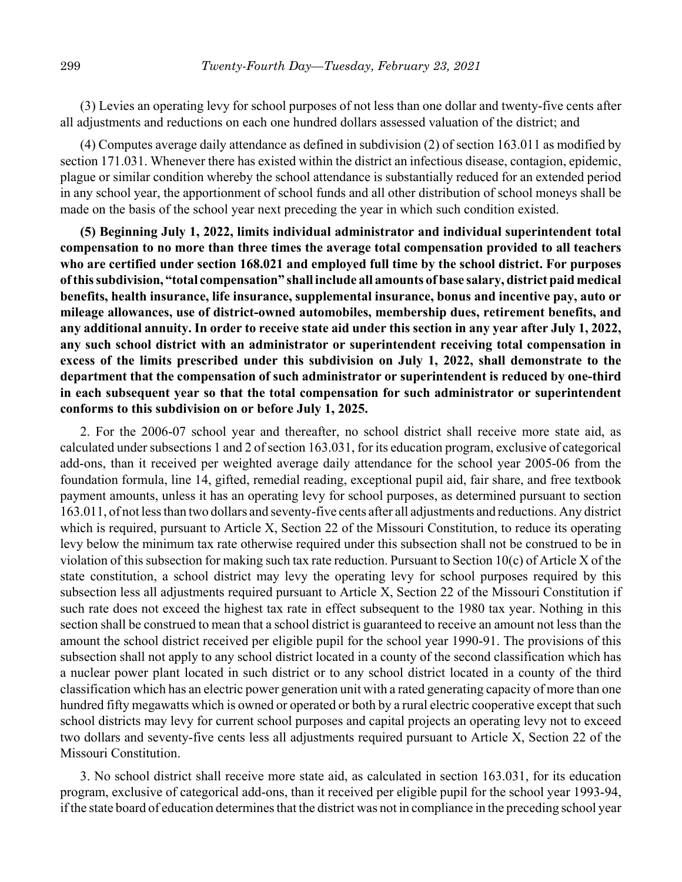(3) Levies an operating levy for school purposes of not less than one dollar and twenty-five cents after all adjustments and reductions on each one hundred dollars assessed valuation of the district; and

(4) Computes average daily attendance as defined in subdivision (2) of section 163.011 as modified by section 171.031. Whenever there has existed within the district an infectious disease, contagion, epidemic, plague or similar condition whereby the school attendance is substantially reduced for an extended period in any school year, the apportionment of school funds and all other distribution of school moneys shall be made on the basis of the school year next preceding the year in which such condition existed.

**(5) Beginning July 1, 2022, limits individual administrator and individual superintendent total compensation to no more than three times the average total compensation provided to all teachers who are certified under section 168.021 and employed full time by the school district. For purposes of this subdivision, "total compensation" shall include all amounts of base salary, district paid medical benefits, health insurance, life insurance, supplemental insurance, bonus and incentive pay, auto or mileage allowances, use of district-owned automobiles, membership dues, retirement benefits, and any additional annuity. In order to receive state aid under this section in any year after July 1, 2022, any such school district with an administrator or superintendent receiving total compensation in excess of the limits prescribed under this subdivision on July 1, 2022, shall demonstrate to the department that the compensation of such administrator or superintendent is reduced by one-third in each subsequent year so that the total compensation for such administrator or superintendent conforms to this subdivision on or before July 1, 2025.**

2. For the 2006-07 school year and thereafter, no school district shall receive more state aid, as calculated under subsections 1 and 2 of section 163.031, for its education program, exclusive of categorical add-ons, than it received per weighted average daily attendance for the school year 2005-06 from the foundation formula, line 14, gifted, remedial reading, exceptional pupil aid, fair share, and free textbook payment amounts, unless it has an operating levy for school purposes, as determined pursuant to section 163.011, of not less than two dollars and seventy-five cents after all adjustments and reductions. Any district which is required, pursuant to Article X, Section 22 of the Missouri Constitution, to reduce its operating levy below the minimum tax rate otherwise required under this subsection shall not be construed to be in violation of this subsection for making such tax rate reduction. Pursuant to Section 10(c) of Article X of the state constitution, a school district may levy the operating levy for school purposes required by this subsection less all adjustments required pursuant to Article X, Section 22 of the Missouri Constitution if such rate does not exceed the highest tax rate in effect subsequent to the 1980 tax year. Nothing in this section shall be construed to mean that a school district is guaranteed to receive an amount not less than the amount the school district received per eligible pupil for the school year 1990-91. The provisions of this subsection shall not apply to any school district located in a county of the second classification which has a nuclear power plant located in such district or to any school district located in a county of the third classification which has an electric power generation unit with a rated generating capacity of more than one hundred fifty megawatts which is owned or operated or both by a rural electric cooperative except that such school districts may levy for current school purposes and capital projects an operating levy not to exceed two dollars and seventy-five cents less all adjustments required pursuant to Article X, Section 22 of the Missouri Constitution.

3. No school district shall receive more state aid, as calculated in section 163.031, for its education program, exclusive of categorical add-ons, than it received per eligible pupil for the school year 1993-94, if the state board of education determines that the district was not in compliance in the preceding school year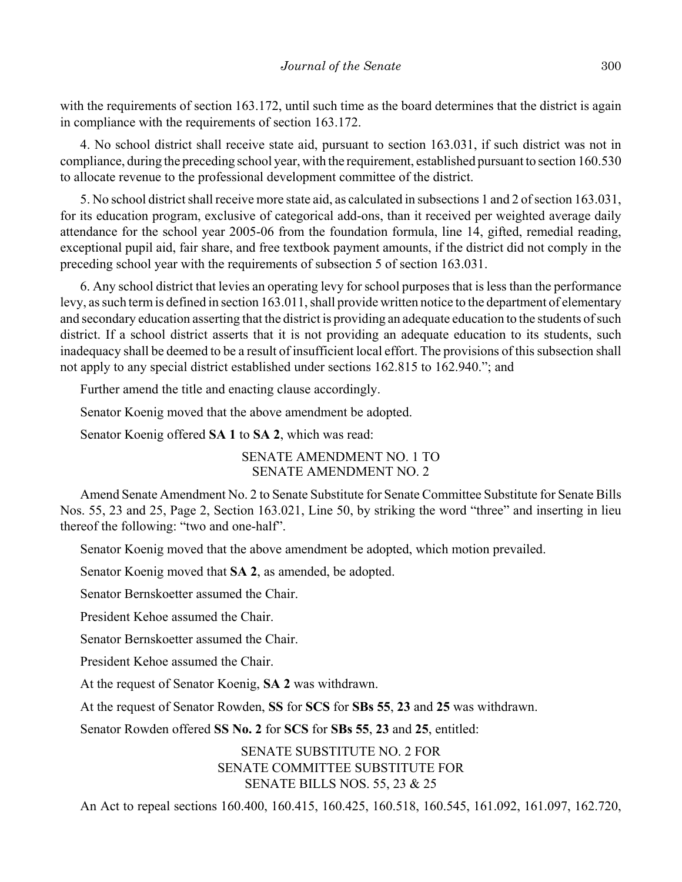with the requirements of section 163.172, until such time as the board determines that the district is again in compliance with the requirements of section 163.172.

4. No school district shall receive state aid, pursuant to section 163.031, if such district was not in compliance, during the preceding school year, with the requirement, established pursuant to section 160.530 to allocate revenue to the professional development committee of the district.

5. No school district shall receive more state aid, as calculated in subsections 1 and 2 of section 163.031, for its education program, exclusive of categorical add-ons, than it received per weighted average daily attendance for the school year 2005-06 from the foundation formula, line 14, gifted, remedial reading, exceptional pupil aid, fair share, and free textbook payment amounts, if the district did not comply in the preceding school year with the requirements of subsection 5 of section 163.031.

6. Any school district that levies an operating levy for school purposes that is less than the performance levy, as such term is defined in section 163.011, shall provide written notice to the department of elementary and secondary education asserting that the district is providing an adequate education to the students of such district. If a school district asserts that it is not providing an adequate education to its students, such inadequacy shall be deemed to be a result of insufficient local effort. The provisions of this subsection shall not apply to any special district established under sections 162.815 to 162.940."; and

Further amend the title and enacting clause accordingly.

Senator Koenig moved that the above amendment be adopted.

Senator Koenig offered **SA 1** to **SA 2**, which was read:

SENATE AMENDMENT NO. 1 TO SENATE AMENDMENT NO. 2

Amend Senate Amendment No. 2 to Senate Substitute for Senate Committee Substitute for Senate Bills Nos. 55, 23 and 25, Page 2, Section 163.021, Line 50, by striking the word "three" and inserting in lieu thereof the following: "two and one-half".

Senator Koenig moved that the above amendment be adopted, which motion prevailed.

Senator Koenig moved that **SA 2**, as amended, be adopted.

Senator Bernskoetter assumed the Chair.

President Kehoe assumed the Chair.

Senator Bernskoetter assumed the Chair.

President Kehoe assumed the Chair.

At the request of Senator Koenig, **SA 2** was withdrawn.

At the request of Senator Rowden, **SS** for **SCS** for **SBs 55**, **23** and **25** was withdrawn.

Senator Rowden offered **SS No. 2** for **SCS** for **SBs 55**, **23** and **25**, entitled:

SENATE SUBSTITUTE NO. 2 FOR SENATE COMMITTEE SUBSTITUTE FOR SENATE BILLS NOS. 55, 23 & 25

An Act to repeal sections 160.400, 160.415, 160.425, 160.518, 160.545, 161.092, 161.097, 162.720,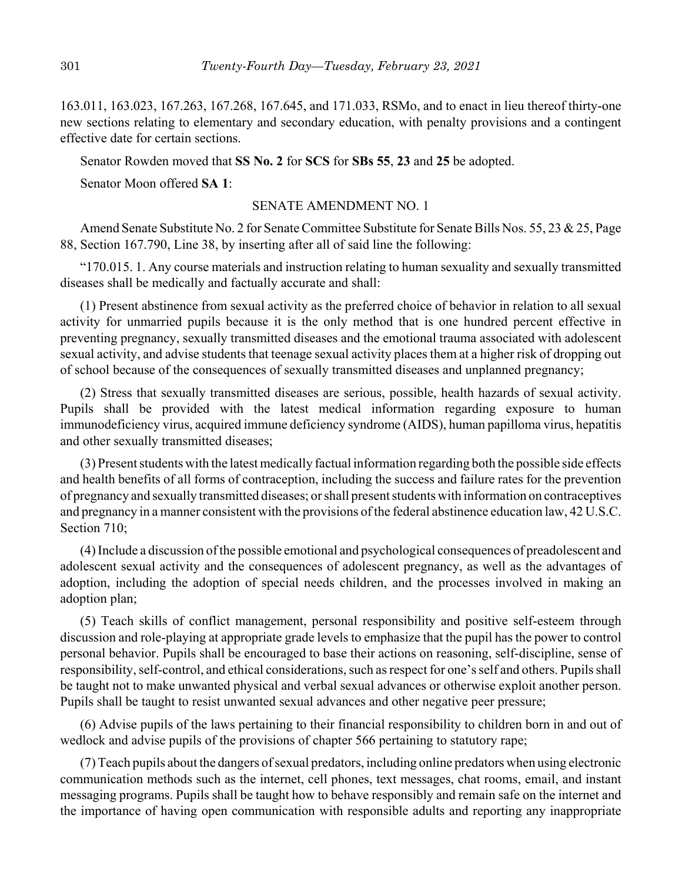163.011, 163.023, 167.263, 167.268, 167.645, and 171.033, RSMo, and to enact in lieu thereof thirty-one new sections relating to elementary and secondary education, with penalty provisions and a contingent effective date for certain sections.

Senator Rowden moved that **SS No. 2** for **SCS** for **SBs 55**, **23** and **25** be adopted.

Senator Moon offered **SA 1**:

## SENATE AMENDMENT NO. 1

Amend Senate Substitute No. 2 for Senate Committee Substitute for Senate Bills Nos. 55, 23 & 25, Page 88, Section 167.790, Line 38, by inserting after all of said line the following:

"170.015. 1. Any course materials and instruction relating to human sexuality and sexually transmitted diseases shall be medically and factually accurate and shall:

(1) Present abstinence from sexual activity as the preferred choice of behavior in relation to all sexual activity for unmarried pupils because it is the only method that is one hundred percent effective in preventing pregnancy, sexually transmitted diseases and the emotional trauma associated with adolescent sexual activity, and advise students that teenage sexual activity places them at a higher risk of dropping out of school because of the consequences of sexually transmitted diseases and unplanned pregnancy;

(2) Stress that sexually transmitted diseases are serious, possible, health hazards of sexual activity. Pupils shall be provided with the latest medical information regarding exposure to human immunodeficiency virus, acquired immune deficiency syndrome (AIDS), human papilloma virus, hepatitis and other sexually transmitted diseases;

(3) Present students with the latest medically factual information regarding both the possible side effects and health benefits of all forms of contraception, including the success and failure rates for the prevention of pregnancy and sexually transmitted diseases; or shall present students with information on contraceptives and pregnancy in a manner consistent with the provisions of the federal abstinence education law, 42 U.S.C. Section 710;

(4) Include a discussion of the possible emotional and psychological consequences of preadolescent and adolescent sexual activity and the consequences of adolescent pregnancy, as well as the advantages of adoption, including the adoption of special needs children, and the processes involved in making an adoption plan;

(5) Teach skills of conflict management, personal responsibility and positive self-esteem through discussion and role-playing at appropriate grade levels to emphasize that the pupil has the power to control personal behavior. Pupils shall be encouraged to base their actions on reasoning, self-discipline, sense of responsibility, self-control, and ethical considerations, such as respect for one's self and others. Pupils shall be taught not to make unwanted physical and verbal sexual advances or otherwise exploit another person. Pupils shall be taught to resist unwanted sexual advances and other negative peer pressure;

(6) Advise pupils of the laws pertaining to their financial responsibility to children born in and out of wedlock and advise pupils of the provisions of chapter 566 pertaining to statutory rape;

(7) Teach pupils about the dangers of sexual predators, including online predators when using electronic communication methods such as the internet, cell phones, text messages, chat rooms, email, and instant messaging programs. Pupils shall be taught how to behave responsibly and remain safe on the internet and the importance of having open communication with responsible adults and reporting any inappropriate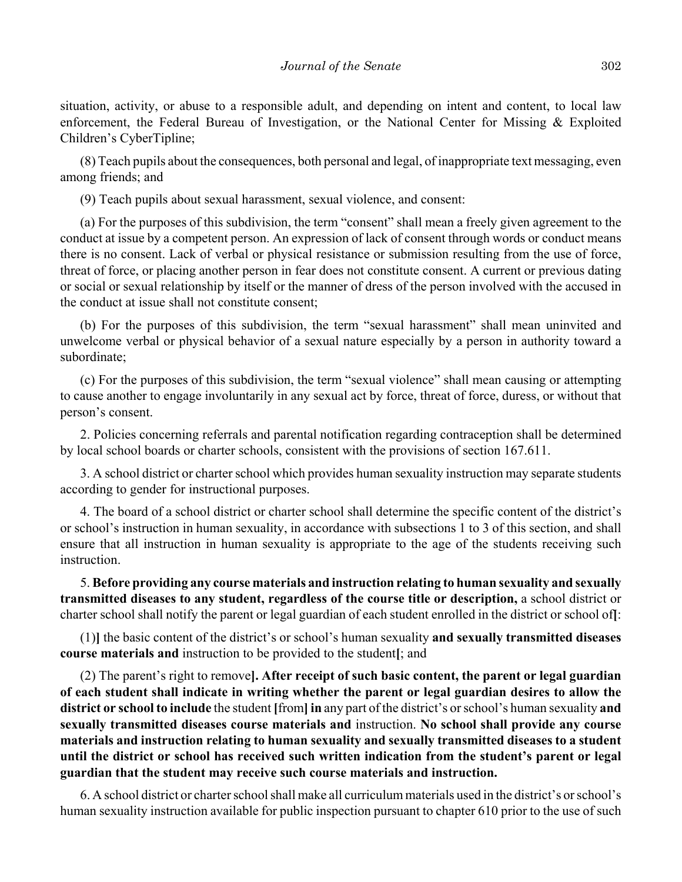situation, activity, or abuse to a responsible adult, and depending on intent and content, to local law enforcement, the Federal Bureau of Investigation, or the National Center for Missing & Exploited Children's CyberTipline;

(8) Teach pupils about the consequences, both personal and legal, of inappropriate text messaging, even among friends; and

(9) Teach pupils about sexual harassment, sexual violence, and consent:

(a) For the purposes of this subdivision, the term "consent" shall mean a freely given agreement to the conduct at issue by a competent person. An expression of lack of consent through words or conduct means there is no consent. Lack of verbal or physical resistance or submission resulting from the use of force, threat of force, or placing another person in fear does not constitute consent. A current or previous dating or social or sexual relationship by itself or the manner of dress of the person involved with the accused in the conduct at issue shall not constitute consent;

(b) For the purposes of this subdivision, the term "sexual harassment" shall mean uninvited and unwelcome verbal or physical behavior of a sexual nature especially by a person in authority toward a subordinate;

(c) For the purposes of this subdivision, the term "sexual violence" shall mean causing or attempting to cause another to engage involuntarily in any sexual act by force, threat of force, duress, or without that person's consent.

2. Policies concerning referrals and parental notification regarding contraception shall be determined by local school boards or charter schools, consistent with the provisions of section 167.611.

3. A school district or charter school which provides human sexuality instruction may separate students according to gender for instructional purposes.

4. The board of a school district or charter school shall determine the specific content of the district's or school's instruction in human sexuality, in accordance with subsections 1 to 3 of this section, and shall ensure that all instruction in human sexuality is appropriate to the age of the students receiving such instruction.

5. **Before providing any course materials and instruction relating to human sexuality and sexually transmitted diseases to any student, regardless of the course title or description,** a school district or charter school shall notify the parent or legal guardian of each student enrolled in the district or school of**[**:

(1)**]** the basic content of the district's or school's human sexuality **and sexually transmitted diseases course materials and** instruction to be provided to the student**[**; and

(2) The parent's right to remove**]. After receipt of such basic content, the parent or legal guardian of each student shall indicate in writing whether the parent or legal guardian desires to allow the district or school to include** the student **[**from**] in** any part of the district's or school's human sexuality **and sexually transmitted diseases course materials and** instruction. **No school shall provide any course materials and instruction relating to human sexuality and sexually transmitted diseases to a student until the district or school has received such written indication from the student's parent or legal guardian that the student may receive such course materials and instruction.**

6. A school district or charter school shall make all curriculum materials used in the district's or school's human sexuality instruction available for public inspection pursuant to chapter 610 prior to the use of such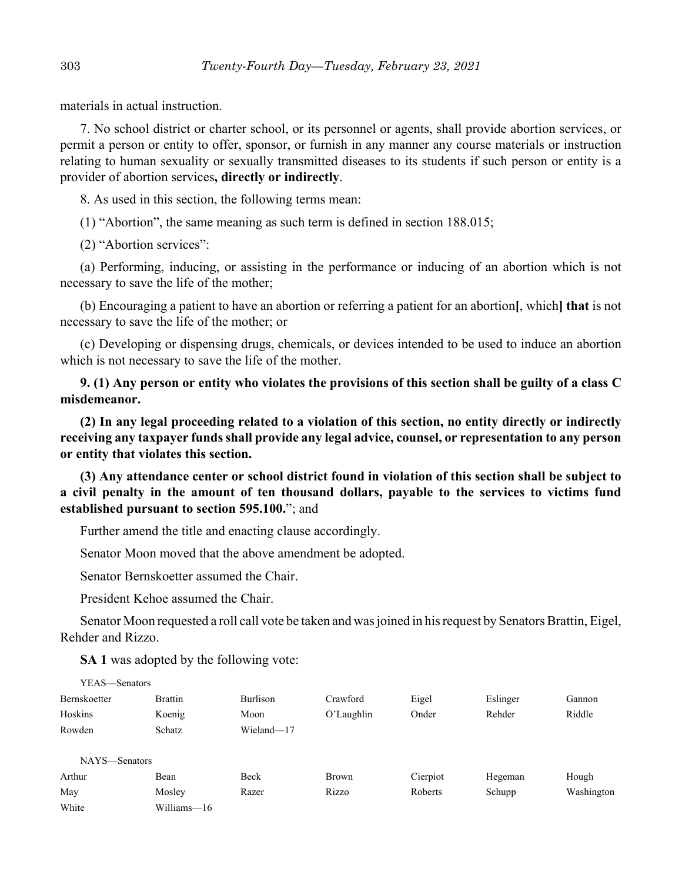materials in actual instruction.

7. No school district or charter school, or its personnel or agents, shall provide abortion services, or permit a person or entity to offer, sponsor, or furnish in any manner any course materials or instruction relating to human sexuality or sexually transmitted diseases to its students if such person or entity is a provider of abortion services**, directly or indirectly**.

8. As used in this section, the following terms mean:

(1) "Abortion", the same meaning as such term is defined in section 188.015;

(2) "Abortion services":

(a) Performing, inducing, or assisting in the performance or inducing of an abortion which is not necessary to save the life of the mother;

(b) Encouraging a patient to have an abortion or referring a patient for an abortion**[**, which**] that** is not necessary to save the life of the mother; or

(c) Developing or dispensing drugs, chemicals, or devices intended to be used to induce an abortion which is not necessary to save the life of the mother.

**9. (1) Any person or entity who violates the provisions of this section shall be guilty of a class C misdemeanor.**

**(2) In any legal proceeding related to a violation of this section, no entity directly or indirectly receiving any taxpayer funds shall provide any legal advice, counsel, or representation to any person or entity that violates this section.**

**(3) Any attendance center or school district found in violation of this section shall be subject to a civil penalty in the amount of ten thousand dollars, payable to the services to victims fund established pursuant to section 595.100.**"; and

Further amend the title and enacting clause accordingly.

Senator Moon moved that the above amendment be adopted.

Senator Bernskoetter assumed the Chair.

President Kehoe assumed the Chair.

Senator Moon requested a roll call vote be taken and was joined in his request by Senators Brattin, Eigel, Rehder and Rizzo.

**SA 1** was adopted by the following vote:

| YEAS—Senators |                |                 |               |          |          |            |
|---------------|----------------|-----------------|---------------|----------|----------|------------|
| Bernskoetter  | <b>Brattin</b> | <b>Burlison</b> | Crawford      | Eigel    | Eslinger | Gannon     |
| Hoskins       | Koenig         | Moon            | $O'$ Laughlin | Onder    | Rehder   | Riddle     |
| Rowden        | Schatz         | Wieland-17      |               |          |          |            |
|               |                |                 |               |          |          |            |
| NAYS—Senators |                |                 |               |          |          |            |
| Arthur        | Bean           | Beck            | Brown         | Cierpiot | Hegeman  | Hough      |
| May           | Mosley         | Razer           | Rizzo         | Roberts  | Schupp   | Washington |
| White         | Williams-16    |                 |               |          |          |            |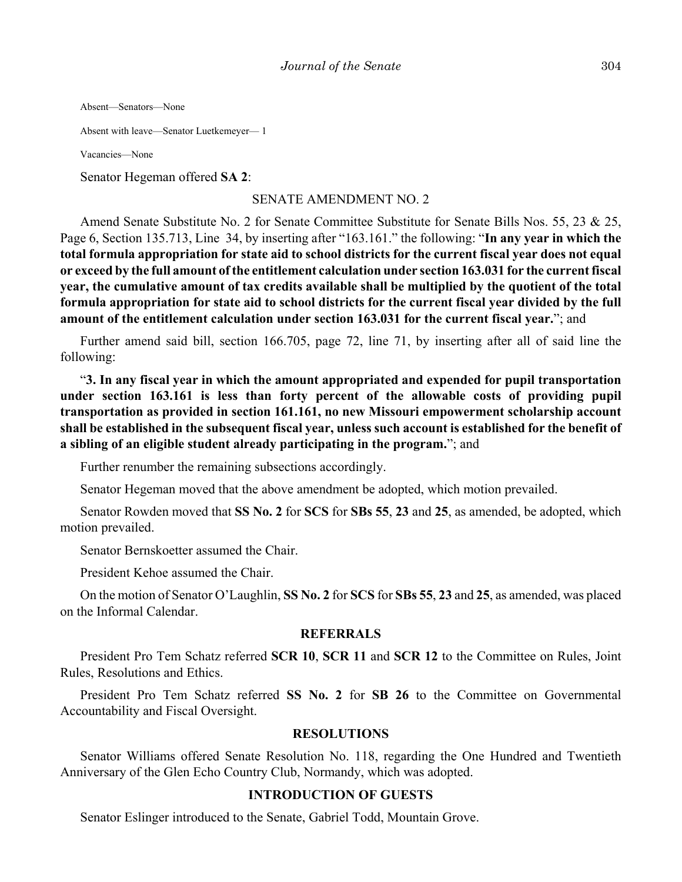Absent—Senators—None

Absent with leave—Senator Luetkemeyer— 1

Vacancies—None

Senator Hegeman offered **SA 2**:

#### SENATE AMENDMENT NO. 2

Amend Senate Substitute No. 2 for Senate Committee Substitute for Senate Bills Nos. 55, 23 & 25, Page 6, Section 135.713, Line 34, by inserting after "163.161." the following: "**In any year in which the total formula appropriation for state aid to school districts for the current fiscal year does not equal or exceed by the full amount of the entitlement calculation under section 163.031 for the current fiscal year, the cumulative amount of tax credits available shall be multiplied by the quotient of the total formula appropriation for state aid to school districts for the current fiscal year divided by the full amount of the entitlement calculation under section 163.031 for the current fiscal year.**"; and

Further amend said bill, section 166.705, page 72, line 71, by inserting after all of said line the following:

"**3. In any fiscal year in which the amount appropriated and expended for pupil transportation under section 163.161 is less than forty percent of the allowable costs of providing pupil transportation as provided in section 161.161, no new Missouri empowerment scholarship account shall be established in the subsequent fiscal year, unless such account is established for the benefit of a sibling of an eligible student already participating in the program.**"; and

Further renumber the remaining subsections accordingly.

Senator Hegeman moved that the above amendment be adopted, which motion prevailed.

Senator Rowden moved that **SS No. 2** for **SCS** for **SBs 55**, **23** and **25**, as amended, be adopted, which motion prevailed.

Senator Bernskoetter assumed the Chair.

President Kehoe assumed the Chair.

On the motion of Senator O'Laughlin, **SS No. 2** for **SCS** for **SBs 55**, **23** and **25**, as amended, was placed on the Informal Calendar.

#### **REFERRALS**

President Pro Tem Schatz referred **SCR 10**, **SCR 11** and **SCR 12** to the Committee on Rules, Joint Rules, Resolutions and Ethics.

President Pro Tem Schatz referred **SS No. 2** for **SB 26** to the Committee on Governmental Accountability and Fiscal Oversight.

#### **RESOLUTIONS**

Senator Williams offered Senate Resolution No. 118, regarding the One Hundred and Twentieth Anniversary of the Glen Echo Country Club, Normandy, which was adopted.

#### **INTRODUCTION OF GUESTS**

Senator Eslinger introduced to the Senate, Gabriel Todd, Mountain Grove.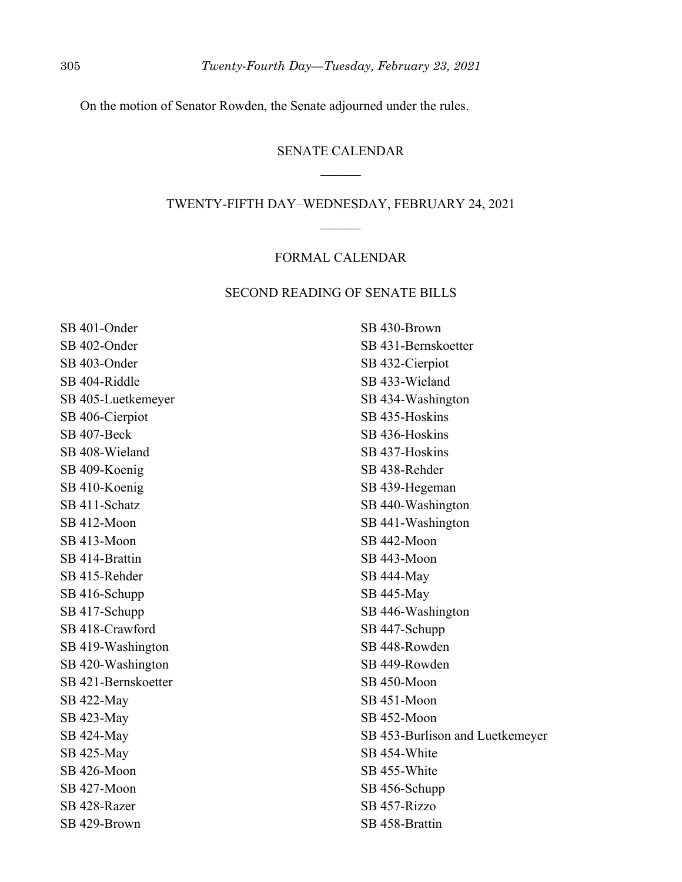On the motion of Senator Rowden, the Senate adjourned under the rules.

## SENATE CALENDAR  $\mathcal{L}$

#### TWENTY-FIFTH DAY–WEDNESDAY, FEBRUARY 24, 2021

## FORMAL CALENDAR

#### SECOND READING OF SENATE BILLS

SB 401-Onder SB 402-Onder SB 403-Onder SB 404-Riddle SB 405-Luetkemeyer SB 406-Cierpiot SB 407-Beck SB 408-Wieland SB 409-Koenig SB 410-Koenig SB 411-Schatz SB 412-Moon SB 413-Moon SB 414-Brattin SB 415-Rehder SB 416-Schupp SB 417-Schupp SB 418-Crawford SB 419-Washington SB 420-Washington SB 421-Bernskoetter SB 422-May SB 423-May SB 424-May SB 425-May SB 426-Moon SB 427-Moon SB 428-Razer SB 429-Brown

SB 430-Brown SB 431-Bernskoetter SB 432-Cierpiot SB 433-Wieland SB 434-Washington SB 435-Hoskins SB 436-Hoskins SB 437-Hoskins SB 438-Rehder SB 439-Hegeman SB 440-Washington SB 441-Washington SB 442-Moon SB 443-Moon SB 444-May SB 445-May SB 446-Washington SB 447-Schupp SB 448-Rowden SB 449-Rowden SB 450-Moon SB 451-Moon SB 452-Moon SB 453-Burlison and Luetkemeyer SB 454-White SB 455-White SB 456-Schupp SB 457-Rizzo SB 458-Brattin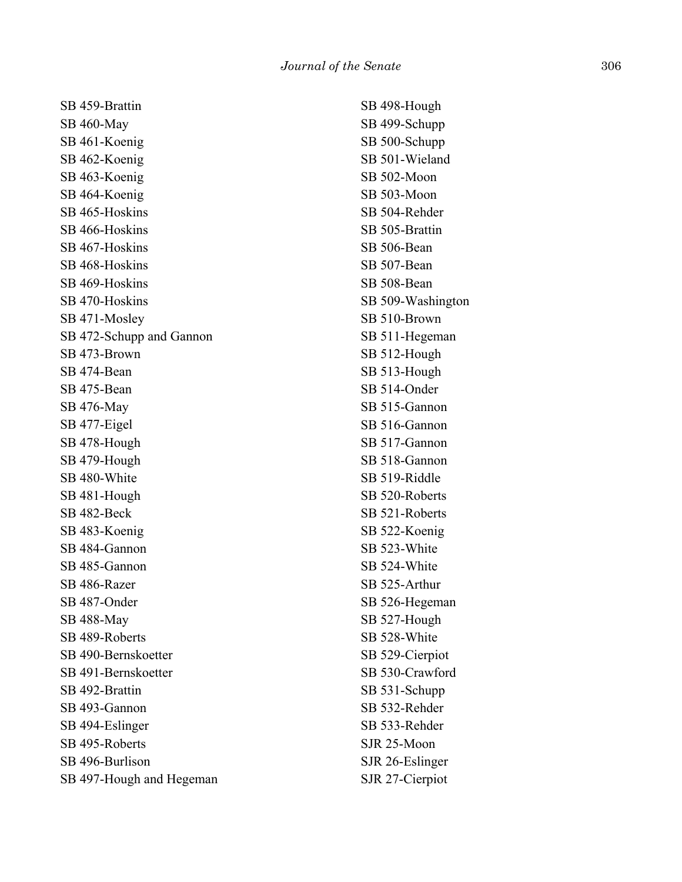SB 459-Brattin SB 460-May SB 461-Koenig SB 462-Koenig SB 463-Koenig SB 464-Koenig SB 465-Hoskins SB 466-Hoskins SB 467-Hoskins SB 468-Hoskins SB 469-Hoskins SB 470-Hoskins SB 471-Mosley SB 472-Schupp and Gannon SB 473-Brown SB 474-Bean SB 475-Bean SB 476-May SB 477-Eigel SB 478-Hough SB 479-Hough SB 480-White SB 481-Hough SB 482-Beck SB 483-Koenig SB 484-Gannon SB 485-Gannon SB 486-Razer SB 487-Onder SB 488-May SB 489-Roberts SB 490-Bernskoetter SB 491-Bernskoetter SB 492-Brattin SB 493-Gannon SB 494-Eslinger SB 495-Roberts SB 496-Burlison SB 497-Hough and Hegeman

SB 498-Hough SB 499-Schupp SB 500-Schupp SB 501-Wieland SB 502-Moon SB 503-Moon SB 504-Rehder SB 505-Brattin SB 506-Bean SB 507-Bean SB 508-Bean SB 509-Washington SB 510-Brown SB 511-Hegeman SB 512-Hough SB 513-Hough SB 514-Onder SB 515-Gannon SB 516-Gannon SB 517-Gannon SB 518-Gannon SB 519-Riddle SB 520-Roberts SB 521-Roberts SB 522-Koenig SB 523-White SB 524-White SB 525-Arthur SB 526-Hegeman SB 527-Hough SB 528-White SB 529-Cierpiot SB 530-Crawford SB 531-Schupp SB 532-Rehder SB 533-Rehder SJR 25-Moon SJR 26-Eslinger SJR 27-Cierpiot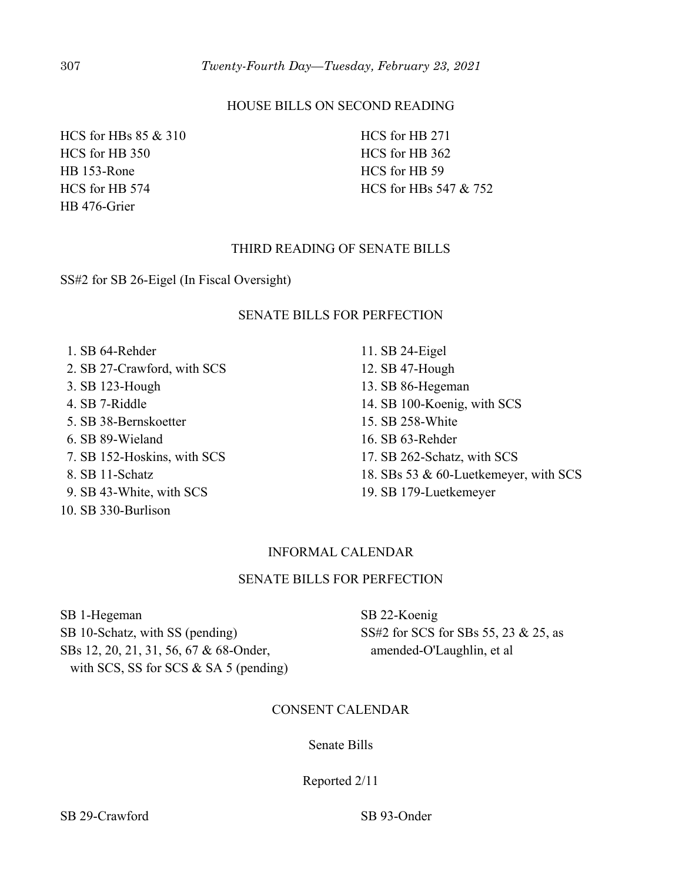## HOUSE BILLS ON SECOND READING

HCS for HBs 85 & 310 HCS for HB 350 HB 153-Rone HCS for HB 574 HB 476-Grier

HCS for HB 271 HCS for HB 362 HCS for HB 59 HCS for HBs 547 & 752

## THIRD READING OF SENATE BILLS

SS#2 for SB 26-Eigel (In Fiscal Oversight)

## SENATE BILLS FOR PERFECTION

 1. SB 64-Rehder 2. SB 27-Crawford, with SCS 3. SB 123-Hough 4. SB 7-Riddle 5. SB 38-Bernskoetter 6. SB 89-Wieland 7. SB 152-Hoskins, with SCS 8. SB 11-Schatz 9. SB 43-White, with SCS 10. SB 330-Burlison

11. SB 24-Eigel 12. SB 47-Hough 13. SB 86-Hegeman 14. SB 100-Koenig, with SCS 15. SB 258-White 16. SB 63-Rehder 17. SB 262-Schatz, with SCS 18. SBs 53 & 60-Luetkemeyer, with SCS 19. SB 179-Luetkemeyer

## INFORMAL CALENDAR

#### SENATE BILLS FOR PERFECTION

SB 1-Hegeman SB 10-Schatz, with SS (pending) SBs 12, 20, 21, 31, 56, 67 & 68-Onder, with SCS, SS for SCS & SA 5 (pending) SB 22-Koenig SS#2 for SCS for SBs 55, 23 & 25, as amended-O'Laughlin, et al

## CONSENT CALENDAR

#### Senate Bills

## Reported 2/11